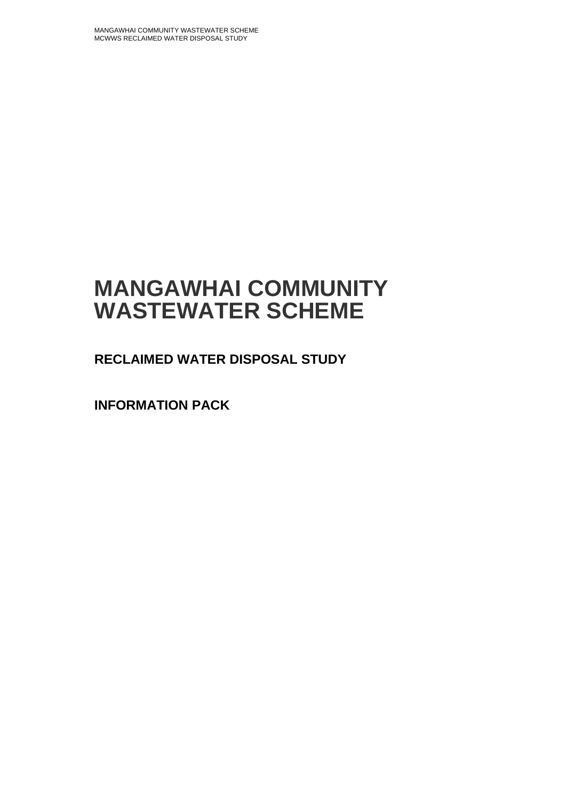# **MANGAWHAI COMMUNITY WASTEWATER SCHEME**

**RECLAIMED WATER DISPOSAL STUDY**

**INFORMATION PACK**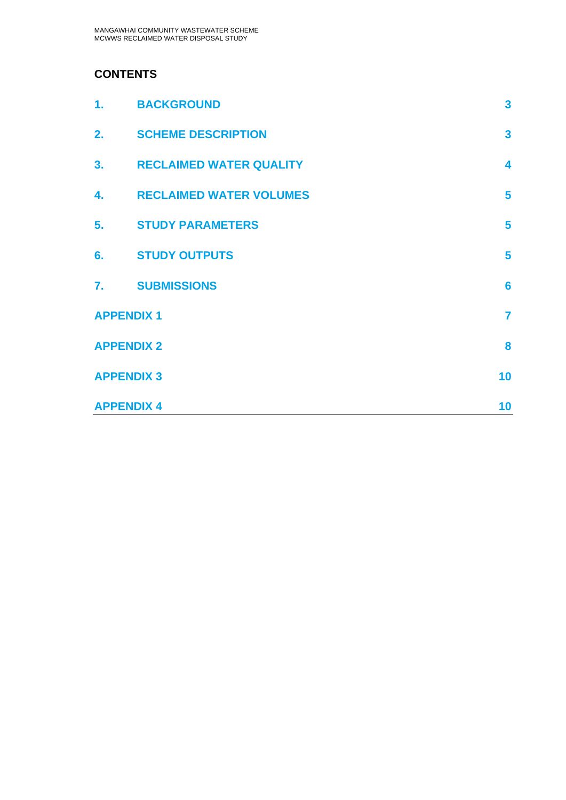### **CONTENTS**

| 1.                | <b>BACKGROUND</b>              | $\overline{\mathbf{3}}$ |
|-------------------|--------------------------------|-------------------------|
| 2.                | <b>SCHEME DESCRIPTION</b>      | $\overline{\mathbf{3}}$ |
| 3 <sub>1</sub>    | <b>RECLAIMED WATER QUALITY</b> | $\overline{\mathbf{4}}$ |
| 4.                | <b>RECLAIMED WATER VOLUMES</b> | 5                       |
| 5.                | <b>STUDY PARAMETERS</b>        | 5                       |
| 6.                | <b>STUDY OUTPUTS</b>           | 5                       |
| 7.                | <b>SUBMISSIONS</b>             | $6\phantom{a}$          |
| <b>APPENDIX 1</b> |                                | $\overline{7}$          |
| <b>APPENDIX 2</b> |                                | 8                       |
| <b>APPENDIX 3</b> |                                | 10                      |
| <b>APPENDIX 4</b> |                                | 10                      |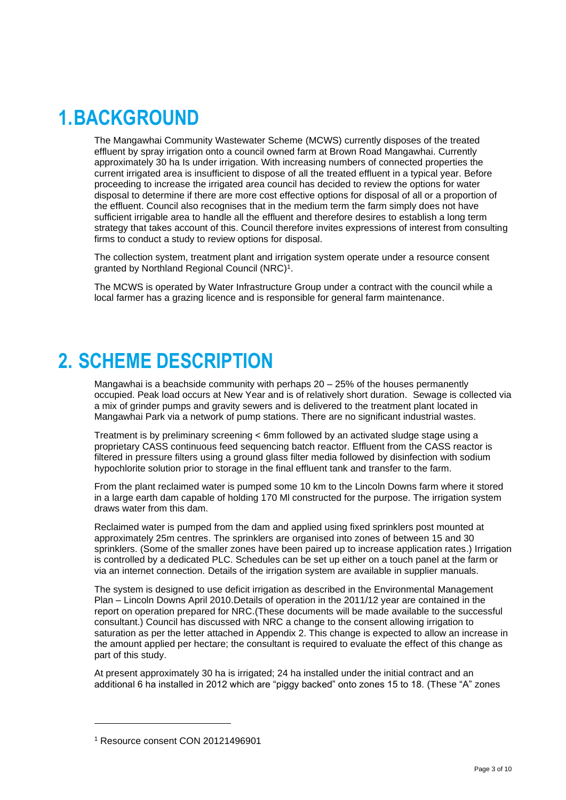# <span id="page-2-0"></span>**1.BACKGROUND**

The Mangawhai Community Wastewater Scheme (MCWS) currently disposes of the treated effluent by spray irrigation onto a council owned farm at Brown Road Mangawhai. Currently approximately 30 ha Is under irrigation. With increasing numbers of connected properties the current irrigated area is insufficient to dispose of all the treated effluent in a typical year. Before proceeding to increase the irrigated area council has decided to review the options for water disposal to determine if there are more cost effective options for disposal of all or a proportion of the effluent. Council also recognises that in the medium term the farm simply does not have sufficient irrigable area to handle all the effluent and therefore desires to establish a long term strategy that takes account of this. Council therefore invites expressions of interest from consulting firms to conduct a study to review options for disposal.

The collection system, treatment plant and irrigation system operate under a resource consent granted by Northland Regional Council (NRC)<sup>1</sup>.

<span id="page-2-1"></span>The MCWS is operated by Water Infrastructure Group under a contract with the council while a local farmer has a grazing licence and is responsible for general farm maintenance.

# **2. SCHEME DESCRIPTION**

Mangawhai is a beachside community with perhaps 20 – 25% of the houses permanently occupied. Peak load occurs at New Year and is of relatively short duration. Sewage is collected via a mix of grinder pumps and gravity sewers and is delivered to the treatment plant located in Mangawhai Park via a network of pump stations. There are no significant industrial wastes.

Treatment is by preliminary screening < 6mm followed by an activated sludge stage using a proprietary CASS continuous feed sequencing batch reactor. Effluent from the CASS reactor is filtered in pressure filters using a ground glass filter media followed by disinfection with sodium hypochlorite solution prior to storage in the final effluent tank and transfer to the farm.

From the plant reclaimed water is pumped some 10 km to the Lincoln Downs farm where it stored in a large earth dam capable of holding 170 Ml constructed for the purpose. The irrigation system draws water from this dam.

Reclaimed water is pumped from the dam and applied using fixed sprinklers post mounted at approximately 25m centres. The sprinklers are organised into zones of between 15 and 30 sprinklers. (Some of the smaller zones have been paired up to increase application rates.) Irrigation is controlled by a dedicated PLC. Schedules can be set up either on a touch panel at the farm or via an internet connection. Details of the irrigation system are available in supplier manuals.

The system is designed to use deficit irrigation as described in the Environmental Management Plan – Lincoln Downs April 2010.Details of operation in the 2011/12 year are contained in the report on operation prepared for NRC.(These documents will be made available to the successful consultant.) Council has discussed with NRC a change to the consent allowing irrigation to saturation as per the letter attached in Appendix 2. This change is expected to allow an increase in the amount applied per hectare; the consultant is required to evaluate the effect of this change as part of this study.

At present approximately 30 ha is irrigated; 24 ha installed under the initial contract and an additional 6 ha installed in 2012 which are "piggy backed" onto zones 15 to 18. (These "A" zones

<sup>1</sup> Resource consent CON 20121496901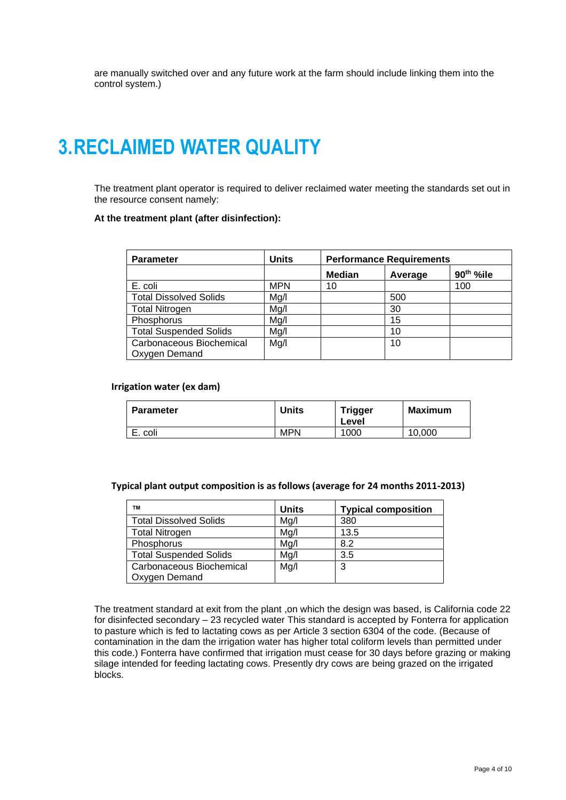<span id="page-3-0"></span>are manually switched over and any future work at the farm should include linking them into the control system.)

# **3.RECLAIMED WATER QUALITY**

The treatment plant operator is required to deliver reclaimed water meeting the standards set out in the resource consent namely:

#### **At the treatment plant (after disinfection):**

| <b>Parameter</b>              | Units      | <b>Performance Requirements</b> |         |                       |  |
|-------------------------------|------------|---------------------------------|---------|-----------------------|--|
|                               |            | <b>Median</b>                   | Average | 90 <sup>th</sup> %ile |  |
| E. coli                       | <b>MPN</b> | 10                              |         | 100                   |  |
| <b>Total Dissolved Solids</b> | Mg/l       |                                 | 500     |                       |  |
| <b>Total Nitrogen</b>         | Mg/l       |                                 | 30      |                       |  |
| Phosphorus                    | Mg/l       |                                 | 15      |                       |  |
| <b>Total Suspended Solids</b> | Mg/l       |                                 | 10      |                       |  |
| Carbonaceous Biochemical      | Mg/l       |                                 | 10      |                       |  |
| Oxygen Demand                 |            |                                 |         |                       |  |

#### **Irrigation water (ex dam)**

| <b>Parameter</b> | Units      | <b>Trigger</b><br>Level | <b>Maximum</b> |
|------------------|------------|-------------------------|----------------|
| E. coli          | <b>MPN</b> | 1000                    | 10,000         |

**Typical plant output composition is as follows (average for 24 months 2011-2013)**

| <b>TM</b>                     | <b>Units</b> | <b>Typical composition</b> |
|-------------------------------|--------------|----------------------------|
| <b>Total Dissolved Solids</b> | Mq/l         | 380                        |
| <b>Total Nitrogen</b>         | Mq/l         | 13.5                       |
| Phosphorus                    | Mq/l         | 8.2                        |
| <b>Total Suspended Solids</b> | Mq/l         | 3.5                        |
| Carbonaceous Biochemical      | Mq/l         | 3                          |
| Oxygen Demand                 |              |                            |

The treatment standard at exit from the plant ,on which the design was based, is California code 22 for disinfected secondary – 23 recycled water This standard is accepted by Fonterra for application to pasture which is fed to lactating cows as per Article 3 section 6304 of the code. (Because of contamination in the dam the irrigation water has higher total coliform levels than permitted under this code.) Fonterra have confirmed that irrigation must cease for 30 days before grazing or making silage intended for feeding lactating cows. Presently dry cows are being grazed on the irrigated blocks.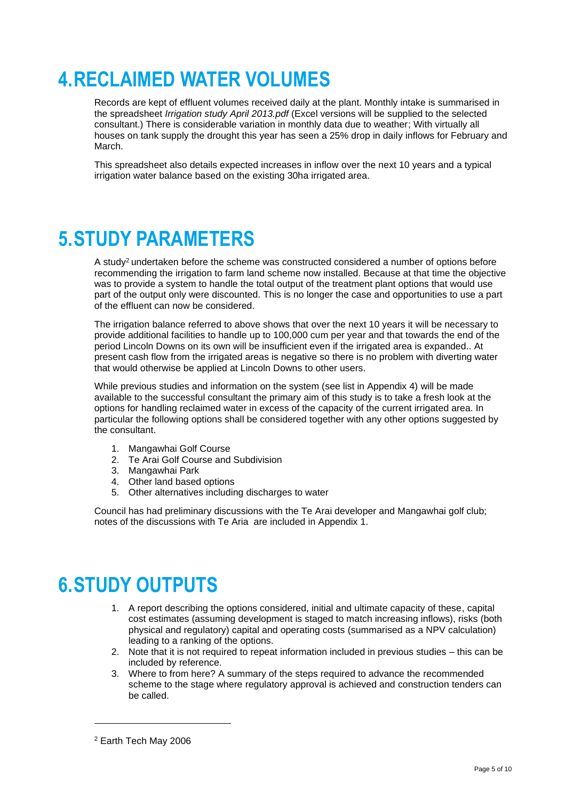# <span id="page-4-0"></span>**4.RECLAIMED WATER VOLUMES**

Records are kept of effluent volumes received daily at the plant. Monthly intake is summarised in the spreadsheet *Irrigation study April 2013.pdf* (Excel versions will be supplied to the selected consultant.) There is considerable variation in monthly data due to weather; With virtually all houses on tank supply the drought this year has seen a 25% drop in daily inflows for February and March.

<span id="page-4-1"></span>This spreadsheet also details expected increases in inflow over the next 10 years and a typical irrigation water balance based on the existing 30ha irrigated area.

### **5.STUDY PARAMETERS**

A study<sup>2</sup> undertaken before the scheme was constructed considered a number of options before recommending the irrigation to farm land scheme now installed. Because at that time the objective was to provide a system to handle the total output of the treatment plant options that would use part of the output only were discounted. This is no longer the case and opportunities to use a part of the effluent can now be considered.

The irrigation balance referred to above shows that over the next 10 years it will be necessary to provide additional facilities to handle up to 100,000 cum per year and that towards the end of the period Lincoln Downs on its own will be insufficient even if the irrigated area is expanded.. At present cash flow from the irrigated areas is negative so there is no problem with diverting water that would otherwise be applied at Lincoln Downs to other users.

While previous studies and information on the system (see list in Appendix 4) will be made available to the successful consultant the primary aim of this study is to take a fresh look at the options for handling reclaimed water in excess of the capacity of the current irrigated area. In particular the following options shall be considered together with any other options suggested by the consultant.

- 1. Mangawhai Golf Course
- 2. Te Arai Golf Course and Subdivision
- 3. Mangawhai Park
- 4. Other land based options
- 5. Other alternatives including discharges to water

<span id="page-4-2"></span>Council has had preliminary discussions with the Te Arai developer and Mangawhai golf club; notes of the discussions with Te Aria are included in Appendix 1.

### **6.STUDY OUTPUTS**

- 1. A report describing the options considered, initial and ultimate capacity of these, capital cost estimates (assuming development is staged to match increasing inflows), risks (both physical and regulatory) capital and operating costs (summarised as a NPV calculation) leading to a ranking of the options.
- 2. Note that it is not required to repeat information included in previous studies this can be included by reference.
- 3. Where to from here? A summary of the steps required to advance the recommended scheme to the stage where regulatory approval is achieved and construction tenders can be called.

<sup>2</sup> Earth Tech May 2006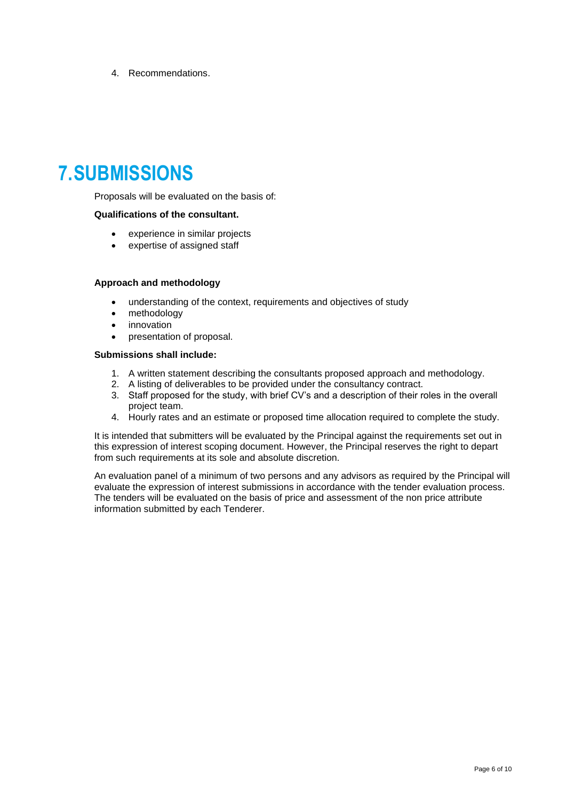4. Recommendations.

### <span id="page-5-0"></span>**7.SUBMISSIONS**

Proposals will be evaluated on the basis of:

#### **Qualifications of the consultant.**

- experience in similar projects
- expertise of assigned staff

#### **Approach and methodology**

- understanding of the context, requirements and objectives of study
- methodology
- innovation
- presentation of proposal.

#### **Submissions shall include:**

- 1. A written statement describing the consultants proposed approach and methodology.
- 2. A listing of deliverables to be provided under the consultancy contract.
- 3. Staff proposed for the study, with brief CV's and a description of their roles in the overall project team.
- 4. Hourly rates and an estimate or proposed time allocation required to complete the study.

It is intended that submitters will be evaluated by the Principal against the requirements set out in this expression of interest scoping document. However, the Principal reserves the right to depart from such requirements at its sole and absolute discretion.

An evaluation panel of a minimum of two persons and any advisors as required by the Principal will evaluate the expression of interest submissions in accordance with the tender evaluation process. The tenders will be evaluated on the basis of price and assessment of the non price attribute information submitted by each Tenderer.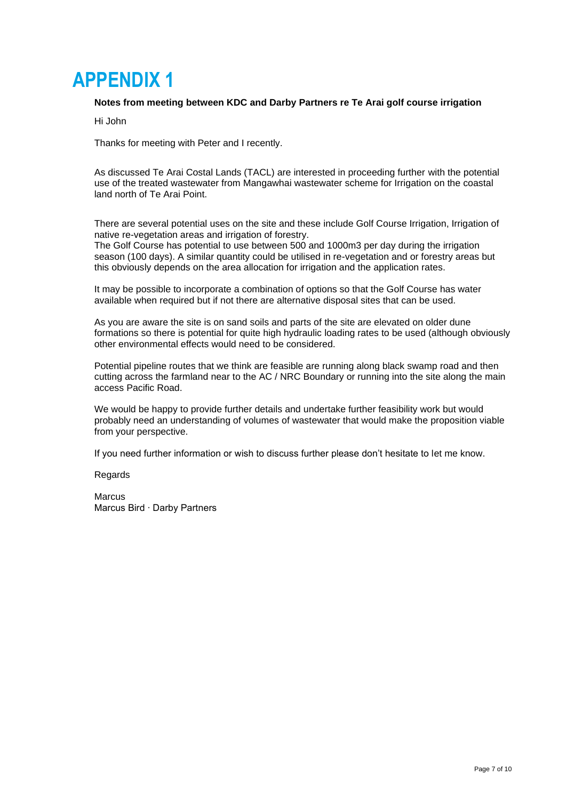### <span id="page-6-0"></span>**APPENDIX 1**

#### **Notes from meeting between KDC and Darby Partners re Te Arai golf course irrigation**

Hi John

Thanks for meeting with Peter and I recently.

As discussed Te Arai Costal Lands (TACL) are interested in proceeding further with the potential use of the treated wastewater from Mangawhai wastewater scheme for Irrigation on the coastal land north of Te Arai Point.

There are several potential uses on the site and these include Golf Course Irrigation, Irrigation of native re-vegetation areas and irrigation of forestry.

The Golf Course has potential to use between 500 and 1000m3 per day during the irrigation season (100 days). A similar quantity could be utilised in re-vegetation and or forestry areas but this obviously depends on the area allocation for irrigation and the application rates.

It may be possible to incorporate a combination of options so that the Golf Course has water available when required but if not there are alternative disposal sites that can be used.

As you are aware the site is on sand soils and parts of the site are elevated on older dune formations so there is potential for quite high hydraulic loading rates to be used (although obviously other environmental effects would need to be considered.

Potential pipeline routes that we think are feasible are running along black swamp road and then cutting across the farmland near to the AC / NRC Boundary or running into the site along the main access Pacific Road.

We would be happy to provide further details and undertake further feasibility work but would probably need an understanding of volumes of wastewater that would make the proposition viable from your perspective.

If you need further information or wish to discuss further please don't hesitate to let me know.

**Regards** 

**Marcus** Marcus Bird ∙ Darby Partners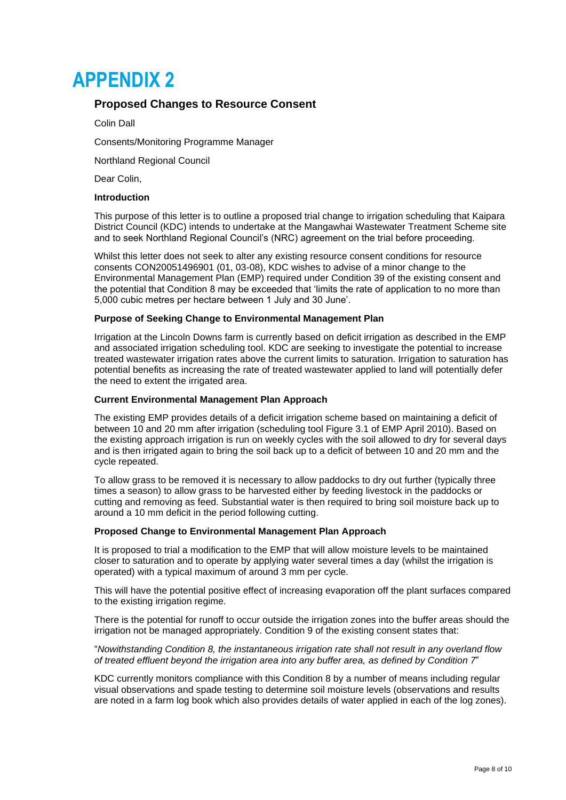### <span id="page-7-0"></span>**APPENDIX 2**

### **Proposed Changes to Resource Consent**

Colin Dall

Consents/Monitoring Programme Manager

Northland Regional Council

Dear Colin,

#### **Introduction**

This purpose of this letter is to outline a proposed trial change to irrigation scheduling that Kaipara District Council (KDC) intends to undertake at the Mangawhai Wastewater Treatment Scheme site and to seek Northland Regional Council's (NRC) agreement on the trial before proceeding.

Whilst this letter does not seek to alter any existing resource consent conditions for resource consents CON20051496901 (01, 03-08), KDC wishes to advise of a minor change to the Environmental Management Plan (EMP) required under Condition 39 of the existing consent and the potential that Condition 8 may be exceeded that 'limits the rate of application to no more than 5,000 cubic metres per hectare between 1 July and 30 June'.

#### **Purpose of Seeking Change to Environmental Management Plan**

Irrigation at the Lincoln Downs farm is currently based on deficit irrigation as described in the EMP and associated irrigation scheduling tool. KDC are seeking to investigate the potential to increase treated wastewater irrigation rates above the current limits to saturation. Irrigation to saturation has potential benefits as increasing the rate of treated wastewater applied to land will potentially defer the need to extent the irrigated area.

#### **Current Environmental Management Plan Approach**

The existing EMP provides details of a deficit irrigation scheme based on maintaining a deficit of between 10 and 20 mm after irrigation (scheduling tool Figure 3.1 of EMP April 2010). Based on the existing approach irrigation is run on weekly cycles with the soil allowed to dry for several days and is then irrigated again to bring the soil back up to a deficit of between 10 and 20 mm and the cycle repeated.

To allow grass to be removed it is necessary to allow paddocks to dry out further (typically three times a season) to allow grass to be harvested either by feeding livestock in the paddocks or cutting and removing as feed. Substantial water is then required to bring soil moisture back up to around a 10 mm deficit in the period following cutting.

#### **Proposed Change to Environmental Management Plan Approach**

It is proposed to trial a modification to the EMP that will allow moisture levels to be maintained closer to saturation and to operate by applying water several times a day (whilst the irrigation is operated) with a typical maximum of around 3 mm per cycle.

This will have the potential positive effect of increasing evaporation off the plant surfaces compared to the existing irrigation regime.

There is the potential for runoff to occur outside the irrigation zones into the buffer areas should the irrigation not be managed appropriately. Condition 9 of the existing consent states that:

"*Nowithstanding Condition 8, the instantaneous irrigation rate shall not result in any overland flow of treated effluent beyond the irrigation area into any buffer area, as defined by Condition 7*"

KDC currently monitors compliance with this Condition 8 by a number of means including regular visual observations and spade testing to determine soil moisture levels (observations and results are noted in a farm log book which also provides details of water applied in each of the log zones).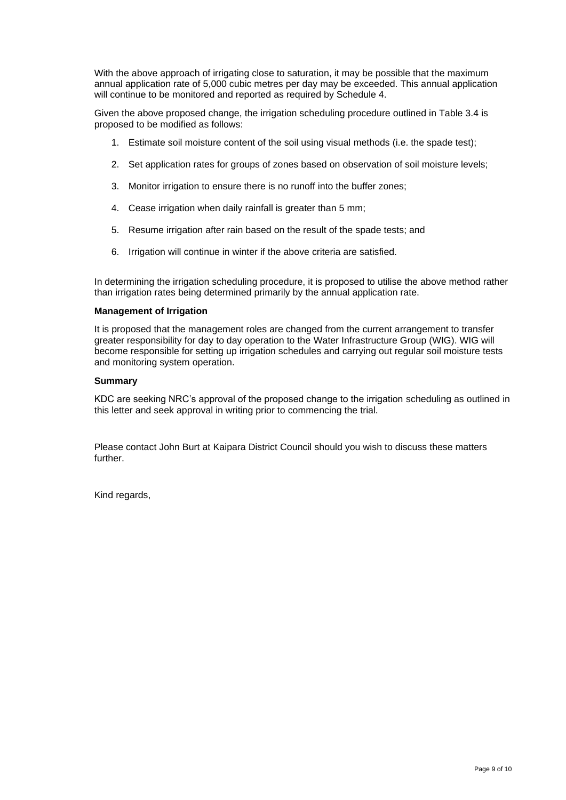With the above approach of irrigating close to saturation, it may be possible that the maximum annual application rate of 5,000 cubic metres per day may be exceeded. This annual application will continue to be monitored and reported as required by Schedule 4.

Given the above proposed change, the irrigation scheduling procedure outlined in Table 3.4 is proposed to be modified as follows:

- 1. Estimate soil moisture content of the soil using visual methods (i.e. the spade test);
- 2. Set application rates for groups of zones based on observation of soil moisture levels;
- 3. Monitor irrigation to ensure there is no runoff into the buffer zones;
- 4. Cease irrigation when daily rainfall is greater than 5 mm;
- 5. Resume irrigation after rain based on the result of the spade tests; and
- 6. Irrigation will continue in winter if the above criteria are satisfied.

In determining the irrigation scheduling procedure, it is proposed to utilise the above method rather than irrigation rates being determined primarily by the annual application rate.

#### **Management of Irrigation**

It is proposed that the management roles are changed from the current arrangement to transfer greater responsibility for day to day operation to the Water Infrastructure Group (WIG). WIG will become responsible for setting up irrigation schedules and carrying out regular soil moisture tests and monitoring system operation.

#### **Summary**

KDC are seeking NRC's approval of the proposed change to the irrigation scheduling as outlined in this letter and seek approval in writing prior to commencing the trial.

Please contact John Burt at Kaipara District Council should you wish to discuss these matters further.

Kind regards,